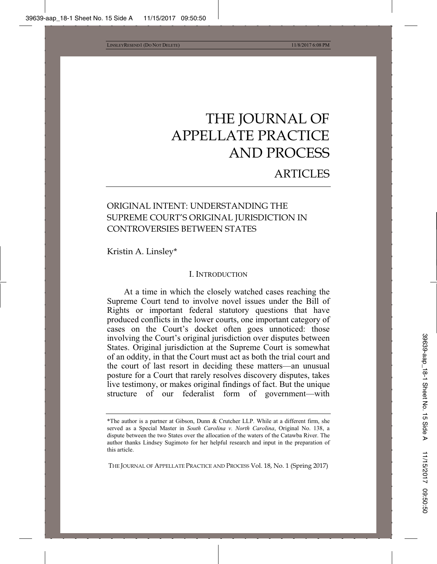# THE JOURNAL OF APPELLATE PRACTICE AND PROCESS

# ARTICLES

# ORIGINAL INTENT: UNDERSTANDING THE SUPREME COURT'S ORIGINAL JURISDICTION IN CONTROVERSIES BETWEEN STATES

Kristin A. Linsley\*

#### I. INTRODUCTION

At a time in which the closely watched cases reaching the Supreme Court tend to involve novel issues under the Bill of Rights or important federal statutory questions that have produced conflicts in the lower courts, one important category of cases on the Court's docket often goes unnoticed: those involving the Court's original jurisdiction over disputes between States. Original jurisdiction at the Supreme Court is somewhat of an oddity, in that the Court must act as both the trial court and the court of last resort in deciding these matters—an unusual posture for a Court that rarely resolves discovery disputes, takes live testimony, or makes original findings of fact. But the unique structure of our federalist form of government—with

THE JOURNAL OF APPELLATE PRACTICE AND PROCESS Vol. 18, No. 1 (Spring 2017)

<sup>\*</sup>The author is a partner at Gibson, Dunn & Crutcher LLP. While at a different firm, she served as a Special Master in *South Carolina v. North Carolina*, Original No. 138, a dispute between the two States over the allocation of the waters of the Catawba River. The author thanks Lindsey Sugimoto for her helpful research and input in the preparation of this article.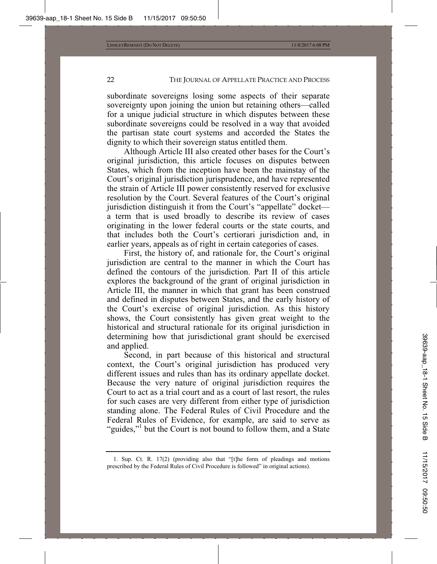subordinate sovereigns losing some aspects of their separate sovereignty upon joining the union but retaining others—called for a unique judicial structure in which disputes between these subordinate sovereigns could be resolved in a way that avoided the partisan state court systems and accorded the States the dignity to which their sovereign status entitled them.

Although Article III also created other bases for the Court's original jurisdiction, this article focuses on disputes between States, which from the inception have been the mainstay of the Court's original jurisdiction jurisprudence, and have represented the strain of Article III power consistently reserved for exclusive resolution by the Court. Several features of the Court's original jurisdiction distinguish it from the Court's "appellate" docket a term that is used broadly to describe its review of cases originating in the lower federal courts or the state courts, and that includes both the Court's certiorari jurisdiction and, in earlier years, appeals as of right in certain categories of cases.

First, the history of, and rationale for, the Court's original jurisdiction are central to the manner in which the Court has defined the contours of the jurisdiction. Part II of this article explores the background of the grant of original jurisdiction in Article III, the manner in which that grant has been construed and defined in disputes between States, and the early history of the Court's exercise of original jurisdiction. As this history shows, the Court consistently has given great weight to the historical and structural rationale for its original jurisdiction in determining how that jurisdictional grant should be exercised and applied.

Second, in part because of this historical and structural context, the Court's original jurisdiction has produced very different issues and rules than has its ordinary appellate docket. Because the very nature of original jurisdiction requires the Court to act as a trial court and as a court of last resort, the rules for such cases are very different from either type of jurisdiction standing alone. The Federal Rules of Civil Procedure and the Federal Rules of Evidence, for example, are said to serve as "guides,"<sup>1</sup> but the Court is not bound to follow them, and a State

<sup>1.</sup> Sup. Ct. R. 17(2) (providing also that "[t]he form of pleadings and motions prescribed by the Federal Rules of Civil Procedure is followed" in original actions).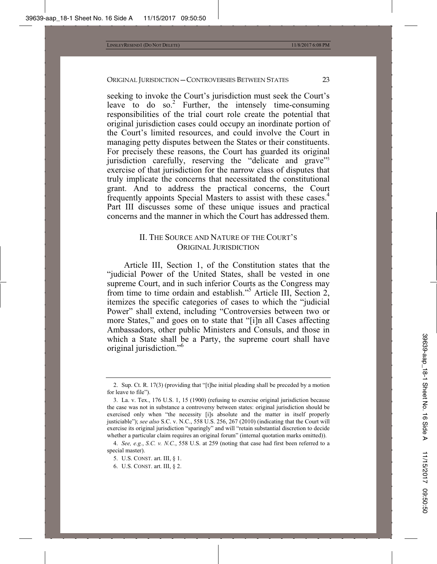seeking to invoke the Court's jurisdiction must seek the Court's leave to do so.<sup>2</sup> Further, the intensely time-consuming responsibilities of the trial court role create the potential that original jurisdiction cases could occupy an inordinate portion of the Court's limited resources, and could involve the Court in managing petty disputes between the States or their constituents. For precisely these reasons, the Court has guarded its original jurisdiction carefully, reserving the "delicate and grave"3 exercise of that jurisdiction for the narrow class of disputes that truly implicate the concerns that necessitated the constitutional grant. And to address the practical concerns, the Court frequently appoints Special Masters to assist with these cases.<sup>4</sup> Part III discusses some of these unique issues and practical concerns and the manner in which the Court has addressed them.

# II. THE SOURCE AND NATURE OF THE COURT'S ORIGINAL JURISDICTION

Article III, Section 1, of the Constitution states that the "judicial Power of the United States, shall be vested in one supreme Court, and in such inferior Courts as the Congress may from time to time ordain and establish."<sup>5</sup> Article III, Section 2, itemizes the specific categories of cases to which the "judicial Power" shall extend, including "Controversies between two or more States," and goes on to state that "[i]n all Cases affecting Ambassadors, other public Ministers and Consuls, and those in which a State shall be a Party, the supreme court shall have original jurisdiction."6

<sup>2.</sup> Sup. Ct. R. 17(3) (providing that "[t]he initial pleading shall be preceded by a motion for leave to file").

<sup>3.</sup> La. v. Tex., 176 U.S. 1, 15 (1900) (refusing to exercise original jurisdiction because the case was not in substance a controversy between states: original jurisdiction should be exercised only when "the necessity [i]s absolute and the matter in itself properly justiciable"); *see also* S.C. v. N.C., 558 U.S. 256, 267 (2010) (indicating that the Court will exercise its original jurisdiction "sparingly" and will "retain substantial discretion to decide whether a particular claim requires an original forum" (internal quotation marks omitted)).

<sup>4.</sup> *See, e.g.*, *S.C. v. N.C.*, 558 U.S. at 259 (noting that case had first been referred to a special master).

<sup>5.</sup> U.S. CONST. art. III, § 1.

<sup>6.</sup> U.S. CONST. art. III, § 2.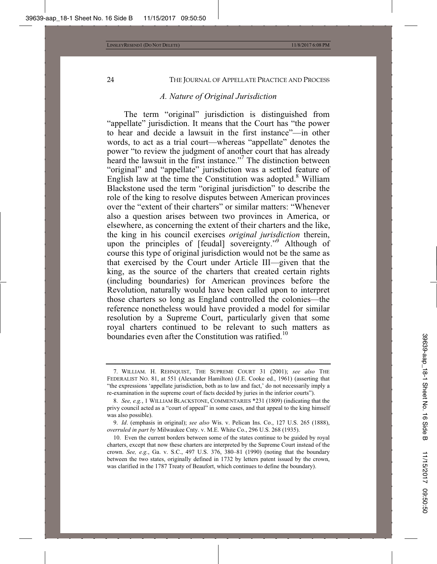#### *A. Nature of Original Jurisdiction*

The term "original" jurisdiction is distinguished from "appellate" jurisdiction. It means that the Court has "the power to hear and decide a lawsuit in the first instance"—in other words, to act as a trial court—whereas "appellate" denotes the power "to review the judgment of another court that has already heard the lawsuit in the first instance."<sup>7</sup> The distinction between "original" and "appellate" jurisdiction was a settled feature of English law at the time the Constitution was adopted. $8$  William Blackstone used the term "original jurisdiction" to describe the role of the king to resolve disputes between American provinces over the "extent of their charters" or similar matters: "Whenever also a question arises between two provinces in America, or elsewhere, as concerning the extent of their charters and the like, the king in his council exercises *original jurisdiction* therein, upon the principles of [feudal] sovereignty."<sup>9</sup> Although of course this type of original jurisdiction would not be the same as that exercised by the Court under Article III—given that the king, as the source of the charters that created certain rights (including boundaries) for American provinces before the Revolution, naturally would have been called upon to interpret those charters so long as England controlled the colonies—the reference nonetheless would have provided a model for similar resolution by a Supreme Court, particularly given that some royal charters continued to be relevant to such matters as boundaries even after the Constitution was ratified.<sup>10</sup>

<sup>7.</sup> WILLIAM. H. REHNQUIST, THE SUPREME COURT 31 (2001); *see also* THE FEDERALIST NO. 81, at 551 (Alexander Hamilton) (J.E. Cooke ed., 1961) (asserting that "the expressions 'appellate jurisdiction, both as to law and fact,' do not necessarily imply a re-examination in the supreme court of facts decided by juries in the inferior courts").

<sup>8.</sup> *See, e.g.*, 1 WILLIAM BLACKSTONE, COMMENTARIES \*231 (1809) (indicating that the privy council acted as a "court of appeal" in some cases, and that appeal to the king himself was also possible).

<sup>9.</sup> *Id*. (emphasis in original); *see also* Wis. v. Pelican Ins. Co., 127 U.S. 265 (1888), *overruled in part by* Milwaukee Cnty. v. M.E. White Co., 296 U.S. 268 (1935).

<sup>10.</sup> Even the current borders between some of the states continue to be guided by royal charters, except that now these charters are interpreted by the Supreme Court instead of the crown. *See, e.g.*, Ga. v. S.C., 497 U.S. 376, 380–81 (1990) (noting that the boundary between the two states, originally defined in 1732 by letters patent issued by the crown, was clarified in the 1787 Treaty of Beaufort, which continues to define the boundary).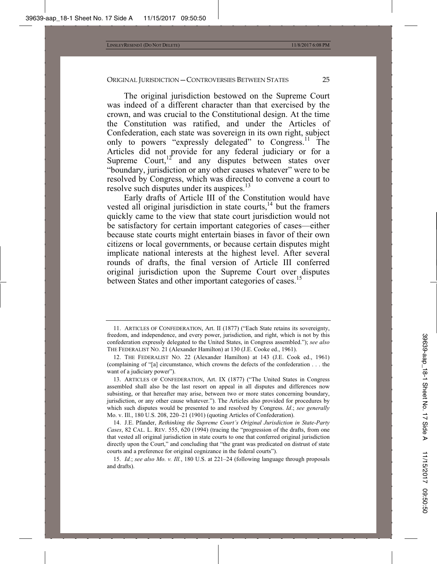The original jurisdiction bestowed on the Supreme Court was indeed of a different character than that exercised by the crown, and was crucial to the Constitutional design. At the time the Constitution was ratified, and under the Articles of Confederation, each state was sovereign in its own right, subject only to powers "expressly delegated" to Congress.<sup>11</sup> The Articles did not provide for any federal judiciary or for a Supreme Court, $12^{\circ}$  and any disputes between states over "boundary, jurisdiction or any other causes whatever" were to be resolved by Congress, which was directed to convene a court to resolve such disputes under its auspices.<sup>13</sup>

Early drafts of Article III of the Constitution would have vested all original jurisdiction in state courts, $14$  but the framers quickly came to the view that state court jurisdiction would not be satisfactory for certain important categories of cases—either because state courts might entertain biases in favor of their own citizens or local governments, or because certain disputes might implicate national interests at the highest level. After several rounds of drafts, the final version of Article III conferred original jurisdiction upon the Supreme Court over disputes between States and other important categories of cases.<sup>15</sup>

<sup>11.</sup> ARTICLES OF CONFEDERATION, Art. II (1877) ("Each State retains its sovereignty, freedom, and independence, and every power, jurisdiction, and right, which is not by this confederation expressly delegated to the United States, in Congress assembled."); *see also*  THE FEDERALIST NO. 21 (Alexander Hamilton) at 130 (J.E. Cooke ed., 1961).

<sup>12.</sup> THE FEDERALIST NO. 22 (Alexander Hamilton) at 143 (J.E. Cook ed., 1961) (complaining of "[a] circumstance, which crowns the defects of the confederation . . . the want of a judiciary power").

<sup>13.</sup> ARTICLES OF CONFEDERATION, Art. IX (1877) ("The United States in Congress assembled shall also be the last resort on appeal in all disputes and differences now subsisting, or that hereafter may arise, between two or more states concerning boundary, jurisdiction, or any other cause whatever."). The Articles also provided for procedures by which such disputes would be presented to and resolved by Congress. *Id*.; *see generally*  Mo. v. Ill., 180 U.S. 208, 220–21 (1901) (quoting Articles of Confederation).

<sup>14.</sup> J.E. Pfander, *Rethinking the Supreme Court's Original Jurisdiction in State-Party Cases*, 82 CAL. L. REV. 555, 620 (1994) (tracing the "progression of the drafts, from one that vested all original jurisdiction in state courts to one that conferred original jurisdiction directly upon the Court," and concluding that "the grant was predicated on distrust of state courts and a preference for original cognizance in the federal courts").

<sup>15.</sup> *Id.*; *see also Mo. v. Ill.*, 180 U.S. at 221–24 (following language through proposals and drafts).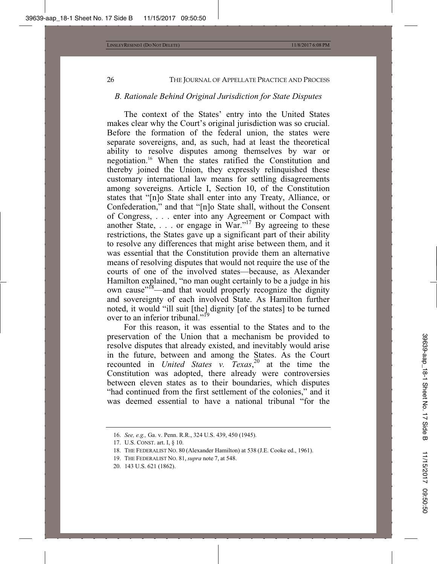#### *B. Rationale Behind Original Jurisdiction for State Disputes*

The context of the States' entry into the United States makes clear why the Court's original jurisdiction was so crucial. Before the formation of the federal union, the states were separate sovereigns, and, as such, had at least the theoretical ability to resolve disputes among themselves by war or negotiation.16 When the states ratified the Constitution and thereby joined the Union, they expressly relinquished these customary international law means for settling disagreements among sovereigns. Article I, Section 10, of the Constitution states that "[n]o State shall enter into any Treaty, Alliance, or Confederation," and that "[n]o State shall, without the Consent of Congress, . . . enter into any Agreement or Compact with another State,  $\dots$  or engage in War."<sup>17</sup> By agreeing to these restrictions, the States gave up a significant part of their ability to resolve any differences that might arise between them, and it was essential that the Constitution provide them an alternative means of resolving disputes that would not require the use of the courts of one of the involved states—because, as Alexander Hamilton explained, "no man ought certainly to be a judge in his own cause"<sup>18</sup>—and that would properly recognize the dignity and sovereignty of each involved State. As Hamilton further noted, it would "ill suit [the] dignity [of the states] to be turned over to an inferior tribunal."<sup>19</sup>

For this reason, it was essential to the States and to the preservation of the Union that a mechanism be provided to resolve disputes that already existed, and inevitably would arise in the future, between and among the States. As the Court recounted in *United States v. Texas*, 20 at the time the Constitution was adopted, there already were controversies between eleven states as to their boundaries, which disputes "had continued from the first settlement of the colonies," and it was deemed essential to have a national tribunal "for the

<sup>16.</sup> *See, e.g.,* Ga. v. Penn. R.R., 324 U.S. 439, 450 (1945).

<sup>17.</sup> U.S. CONST. art. I, § 10.

<sup>18.</sup> THE FEDERALIST NO. 80 (Alexander Hamilton) at 538 (J.E. Cooke ed., 1961).

<sup>19.</sup> THE FEDERALIST NO. 81, *supra* note 7, at 548.

<sup>20. 143</sup> U.S. 621 (1862).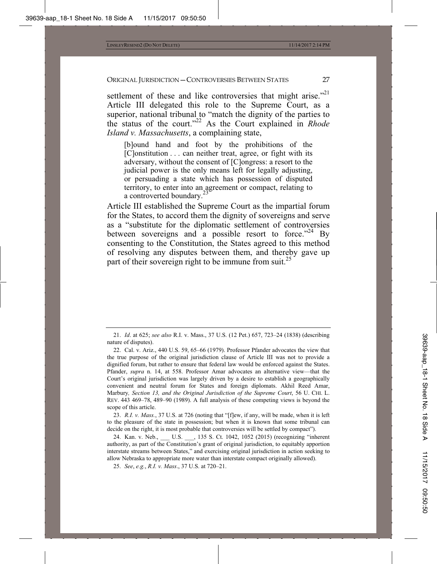settlement of these and like controversies that might arise."<sup>21</sup> Article III delegated this role to the Supreme Court, as a superior, national tribunal to "match the dignity of the parties to the status of the court."22 As the Court explained in *Rhode Island v. Massachusetts*, a complaining state,

[b]ound hand and foot by the prohibitions of the [C]onstitution . . . can neither treat, agree, or fight with its adversary, without the consent of [C]ongress: a resort to the judicial power is the only means left for legally adjusting, or persuading a state which has possession of disputed territory, to enter into an agreement or compact, relating to a controverted boundary.

Article III established the Supreme Court as the impartial forum for the States, to accord them the dignity of sovereigns and serve as a "substitute for the diplomatic settlement of controversies between sovereigns and a possible resort to force."<sup>24</sup> By consenting to the Constitution, the States agreed to this method of resolving any disputes between them, and thereby gave up part of their sovereign right to be immune from suit.<sup>25</sup>

23. *R.I. v. Mass.*, 37 U.S. at 726 (noting that "[f]ew, if any, will be made, when it is left to the pleasure of the state in possession; but when it is known that some tribunal can decide on the right, it is most probable that controversies will be settled by compact").

24. Kan. v. Neb., U.S. , 135 S. Ct. 1042, 1052 (2015) (recognizing "inherent authority, as part of the Constitution's grant of original jurisdiction, to equitably apportion interstate streams between States," and exercising original jurisdiction in action seeking to allow Nebraska to appropriate more water than interstate compact originally allowed).

25. *See*, *e.g.*, *R.I. v. Mass*., 37 U.S. at 720–21.

<sup>21.</sup> *Id*. at 625; *see also* R.I. v. Mass., 37 U.S. (12 Pet.) 657, 723–24 (1838) (describing nature of disputes).

<sup>22.</sup> Cal. v. Ariz., 440 U.S. 59, 65–66 (1979). Professor Pfander advocates the view that the true purpose of the original jurisdiction clause of Article III was not to provide a dignified forum, but rather to ensure that federal law would be enforced against the States. Pfander, *supra* n. 14, at 558. Professor Amar advocates an alternative view—that the Court's original jurisdiction was largely driven by a desire to establish a geographically convenient and neutral forum for States and foreign diplomats. Akhil Reed Amar, Marbury*, Section 13, and the Original Jurisdiction of the Supreme Court*, 56 U. CHI. L. REV. 443 469–78, 489–90 (1989). A full analysis of these competing views is beyond the scope of this article.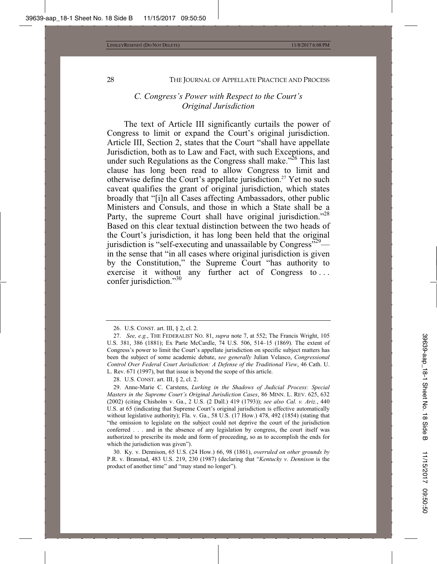# *C. Congress's Power with Respect to the Court's Original Jurisdiction*

The text of Article III significantly curtails the power of Congress to limit or expand the Court's original jurisdiction. Article III, Section 2, states that the Court "shall have appellate Jurisdiction, both as to Law and Fact, with such Exceptions, and under such Regulations as the Congress shall make."<sup>26</sup> This last clause has long been read to allow Congress to limit and otherwise define the Court's appellate jurisdiction.<sup>27</sup> Yet no such caveat qualifies the grant of original jurisdiction, which states broadly that "[i]n all Cases affecting Ambassadors, other public Ministers and Consuls, and those in which a State shall be a Party, the supreme Court shall have original jurisdiction."<sup>28</sup> Based on this clear textual distinction between the two heads of the Court's jurisdiction, it has long been held that the original jurisdiction is "self-executing and unassailable by Congress" $^{29}$  in the sense that "in all cases where original jurisdiction is given by the Constitution," the Supreme Court "has authority to exercise it without any further act of Congress to . . . confer jurisdiction."<sup>30</sup>

30. Ky. v. Dennison, 65 U.S. (24 How.) 66, 98 (1861), *overruled on other grounds by* P.R. v. Branstad, 483 U.S. 219, 230 (1987) (declaring that "*Kentucky v. Dennison* is the product of another time" and "may stand no longer").

<sup>26.</sup> U.S. CONST. art. III, § 2, cl. 2.

<sup>27.</sup> *See, e.g.*, THE FEDERALIST NO. 81, *supra* note 7, at 552; The Francis Wright, 105 U.S. 381, 386 (1881); Ex Parte McCardle, 74 U.S. 506, 514–15 (1869). The extent of Congress's power to limit the Court's appellate jurisdiction on specific subject matters has been the subject of some academic debate, *see generally* Julian Velasco, *Congressional Control Over Federal Court Jurisdiction: A Defense of the Traditional View*, 46 Cath. U. L. Rev. 671 (1997), but that issue is beyond the scope of this article.

<sup>28.</sup> U.S. CONST. art. III, § 2, cl. 2.

<sup>29.</sup> Anne-Marie C. Carstens, *Lurking in the Shadows of Judicial Process: Special Masters in the Supreme Court's Original Jurisdiction Cases*, 86 MINN. L. REV. 625, 632 (2002) (citing Chisholm v. Ga., 2 U.S. (2 Dall.) 419 (1793)); *see also Cal. v. Ariz.*, 440 U.S. at 65 (indicating that Supreme Court's original jurisdiction is effective automatically without legislative authority); Fla. v. Ga., 58 U.S. (17 How.) 478, 492 (1854) (stating that "the omission to legislate on the subject could not deprive the court of the jurisdiction conferred . . . and in the absence of any legislation by congress, the court itself was authorized to prescribe its mode and form of proceeding, so as to accomplish the ends for which the jurisdiction was given").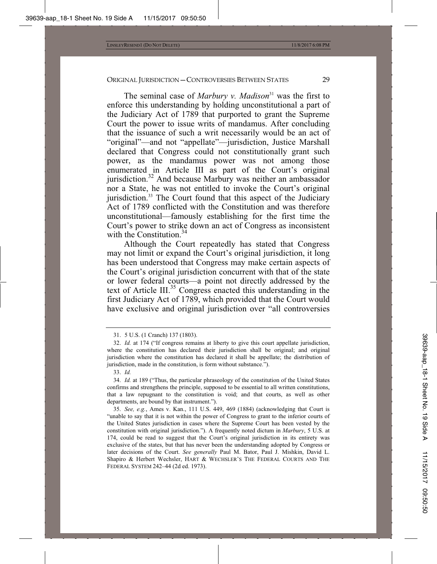The seminal case of *Marbury v. Madison*<sup>31</sup> was the first to enforce this understanding by holding unconstitutional a part of the Judiciary Act of 1789 that purported to grant the Supreme Court the power to issue writs of mandamus. After concluding that the issuance of such a writ necessarily would be an act of "original"—and not "appellate"—jurisdiction, Justice Marshall declared that Congress could not constitutionally grant such power, as the mandamus power was not among those enumerated in Article III as part of the Court's original jurisdiction.<sup>32</sup> And because Marbury was neither an ambassador nor a State, he was not entitled to invoke the Court's original jurisdiction.<sup>33</sup> The Court found that this aspect of the Judiciary Act of 1789 conflicted with the Constitution and was therefore unconstitutional—famously establishing for the first time the Court's power to strike down an act of Congress as inconsistent with the Constitution.<sup>34</sup>

Although the Court repeatedly has stated that Congress may not limit or expand the Court's original jurisdiction, it long has been understood that Congress may make certain aspects of the Court's original jurisdiction concurrent with that of the state or lower federal courts—a point not directly addressed by the text of Article III.35 Congress enacted this understanding in the first Judiciary Act of 1789, which provided that the Court would have exclusive and original jurisdiction over "all controversies

<sup>31. 5</sup> U.S. (1 Cranch) 137 (1803).

<sup>32.</sup> *Id.* at 174 ("If congress remains at liberty to give this court appellate jurisdiction, where the constitution has declared their jurisdiction shall be original; and original jurisdiction where the constitution has declared it shall be appellate; the distribution of jurisdiction, made in the constitution, is form without substance.").

<sup>33.</sup> *Id.*

<sup>34.</sup> *Id.* at 189 ("Thus, the particular phraseology of the constitution of the United States confirms and strengthens the principle, supposed to be essential to all written constitutions, that a law repugnant to the constitution is void; and that courts, as well as other departments, are bound by that instrument.").

<sup>35.</sup> *See, e.g.*, Ames v. Kan., 111 U.S. 449, 469 (1884) (acknowledging that Court is "unable to say that it is not within the power of Congress to grant to the inferior courts of the United States jurisdiction in cases where the Supreme Court has been vested by the constitution with original jurisdiction."). A frequently noted dictum in *Marbury*, 5 U.S. at 174, could be read to suggest that the Court's original jurisdiction in its entirety was exclusive of the states, but that has never been the understanding adopted by Congress or later decisions of the Court. *See generally* Paul M. Bator, Paul J. Mishkin, David L. Shapiro & Herbert Wechsler, HART & WECHSLER'S THE FEDERAL COURTS AND THE FEDERAL SYSTEM 242–44 (2d ed. 1973).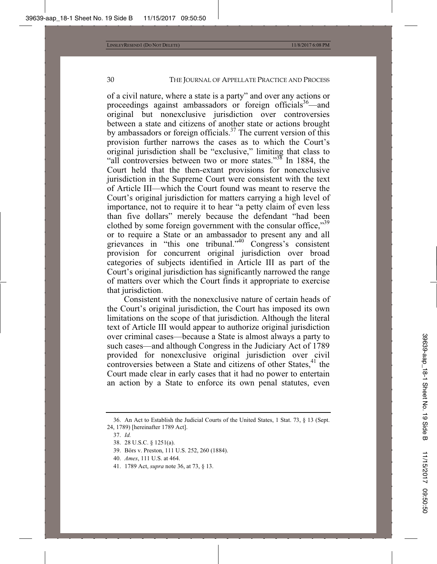of a civil nature, where a state is a party" and over any actions or proceedings against ambassadors or foreign officials<sup>36</sup>—and original but nonexclusive jurisdiction over controversies between a state and citizens of another state or actions brought by ambassadors or foreign officials.<sup>37</sup> The current version of this provision further narrows the cases as to which the Court's original jurisdiction shall be "exclusive," limiting that class to "all controversies between two or more states."<sup>38</sup> In 1884, the Court held that the then-extant provisions for nonexclusive jurisdiction in the Supreme Court were consistent with the text of Article III—which the Court found was meant to reserve the Court's original jurisdiction for matters carrying a high level of importance, not to require it to hear "a petty claim of even less than five dollars" merely because the defendant "had been clothed by some foreign government with the consular office,"<sup>39</sup> or to require a State or an ambassador to present any and all grievances in "this one tribunal."40 Congress's consistent provision for concurrent original jurisdiction over broad categories of subjects identified in Article III as part of the Court's original jurisdiction has significantly narrowed the range of matters over which the Court finds it appropriate to exercise that jurisdiction.

Consistent with the nonexclusive nature of certain heads of the Court's original jurisdiction, the Court has imposed its own limitations on the scope of that jurisdiction. Although the literal text of Article III would appear to authorize original jurisdiction over criminal cases—because a State is almost always a party to such cases—and although Congress in the Judiciary Act of 1789 provided for nonexclusive original jurisdiction over civil controversies between a State and citizens of other States, $41$  the Court made clear in early cases that it had no power to entertain an action by a State to enforce its own penal statutes, even

- 40. *Ames*, 111 U.S. at 464.
- 41. 1789 Act, *supra* note 36, at 73, § 13.

<sup>36.</sup> An Act to Establish the Judicial Courts of the United States, 1 Stat. 73, § 13 (Sept. 24, 1789) [hereinafter 1789 Act].

<sup>37.</sup> *Id.*

<sup>38. 28</sup> U.S.C. § 1251(a).

<sup>39.</sup> Börs v. Preston, 111 U.S. 252, 260 (1884).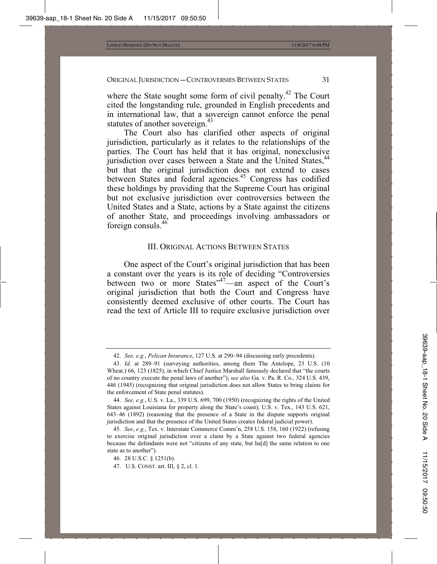where the State sought some form of civil penalty.<sup>42</sup> The Court cited the longstanding rule, grounded in English precedents and in international law, that a sovereign cannot enforce the penal statutes of another sovereign.<sup>43</sup>

The Court also has clarified other aspects of original jurisdiction, particularly as it relates to the relationships of the parties. The Court has held that it has original, nonexclusive jurisdiction over cases between a State and the United States,<sup>44</sup> but that the original jurisdiction does not extend to cases between States and federal agencies.<sup>45</sup> Congress has codified these holdings by providing that the Supreme Court has original but not exclusive jurisdiction over controversies between the United States and a State, actions by a State against the citizens of another State, and proceedings involving ambassadors or foreign consuls.46

#### III. ORIGINAL ACTIONS BETWEEN STATES

One aspect of the Court's original jurisdiction that has been a constant over the years is its role of deciding "Controversies between two or more States<sup>347</sup>—an aspect of the Court's original jurisdiction that both the Court and Congress have consistently deemed exclusive of other courts. The Court has read the text of Article III to require exclusive jurisdiction over

<sup>42.</sup> *See, e.g.*, *Pelican Insurance*, 127 U.S. at 290–94 (discussing early precedents).

<sup>43.</sup> *Id*. at 289–91 (surveying authorities, among them The Antelope, 23 U.S. (10 Wheat.) 66, 123 (1825), in which Chief Justice Marshall famously declared that "the courts of no country execute the penal laws of another"); *see also* Ga. v. Pa. R. Co., 324 U.S. 439, 446 (1945) (recognizing that original jurisdiction does not allow States to bring claims for the enforcement of State penal statutes).

<sup>44.</sup> *See, e.g.*, U.S. v. La., 339 U.S. 699, 700 (1950) (recognizing the rights of the United States against Louisiana for property along the State's coast); U.S. v. Tex., 143 U.S. 621, 643–46 (1892) (reasoning that the presence of a State in the dispute supports original jurisdiction and that the presence of the United States creates federal judicial power).

<sup>45.</sup> *See*, *e.g.*, Tex. v. Interstate Commerce Comm'n, 258 U.S. 158, 160 (1922) (refusing to exercise original jurisdiction over a claim by a State against two federal agencies because the defendants were not "citizens of any state, but ha[d] the same relation to one state as to another").

<sup>46. 28</sup> U.S.C. § 1251(b).

<sup>47.</sup> U.S. CONST. art. III, § 2, cl. 1.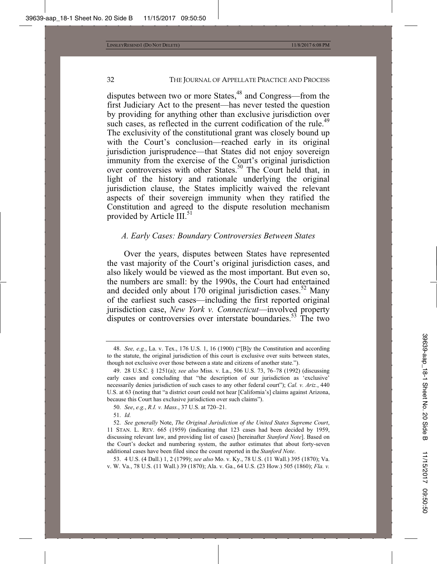disputes between two or more States,<sup>48</sup> and Congress—from the first Judiciary Act to the present—has never tested the question by providing for anything other than exclusive jurisdiction over such cases, as reflected in the current codification of the rule.<sup>49</sup> The exclusivity of the constitutional grant was closely bound up with the Court's conclusion—reached early in its original jurisdiction jurisprudence—that States did not enjoy sovereign immunity from the exercise of the Court's original jurisdiction over controversies with other States.<sup>50</sup> The Court held that, in light of the history and rationale underlying the original jurisdiction clause, the States implicitly waived the relevant aspects of their sovereign immunity when they ratified the Constitution and agreed to the dispute resolution mechanism provided by Article III.<sup>51</sup>

#### *A. Early Cases: Boundary Controversies Between States*

Over the years, disputes between States have represented the vast majority of the Court's original jurisdiction cases, and also likely would be viewed as the most important. But even so, the numbers are small: by the 1990s, the Court had entertained and decided only about  $170$  original jurisdiction cases.<sup>52</sup> Many of the earliest such cases—including the first reported original jurisdiction case, *New York v. Connecticut*—involved property disputes or controversies over interstate boundaries.<sup>53</sup> The two

53. 4 U.S. (4 Dall.) 1, 2 (1799); *see also* Mo. v. Ky., 78 U.S. (11 Wall.) 395 (1870); Va. v. W. Va., 78 U.S. (11 Wall.) 39 (1870); Ala. v. Ga., 64 U.S. (23 How.) 505 (1860); *Fla. v.* 

<sup>48.</sup> *See, e.g.*, La. v. Tex., 176 U.S. 1, 16 (1900) ("[B]y the Constitution and according to the statute, the original jurisdiction of this court is exclusive over suits between states, though not exclusive over those between a state and citizens of another state.").

<sup>49. 28</sup> U.S.C. § 1251(a); *see also* Miss. v. La., 506 U.S. 73, 76–78 (1992) (discussing early cases and concluding that "the description of our jurisdiction as 'exclusive' necessarily denies jurisdiction of such cases to any other federal court"); *Cal. v. Ariz.*, 440 U.S. at 63 (noting that "a district court could not hear [California's] claims against Arizona, because this Court has exclusive jurisdiction over such claims").

<sup>50.</sup> *See*, *e.g.*, *R.I. v. Mass.*, 37 U.S. at 720–21.

<sup>51.</sup> *Id.*

<sup>52.</sup> *See generally* Note, *The Original Jurisdiction of the United States Supreme Court*, 11 STAN. L. REV. 665 (1959) (indicating that 123 cases had been decided by 1959, discussing relevant law, and providing list of cases) [hereinafter *Stanford Note*]. Based on the Court's docket and numbering system, the author estimates that about forty-seven additional cases have been filed since the count reported in the *Stanford Note*.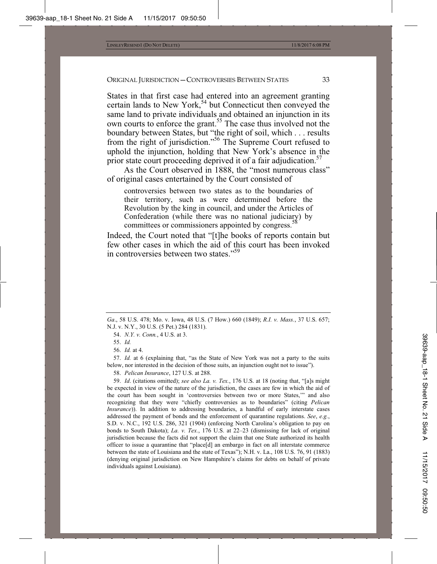States in that first case had entered into an agreement granting certain lands to New York,<sup>54</sup> but Connecticut then conveyed the same land to private individuals and obtained an injunction in its own courts to enforce the grant.<sup>55</sup> The case thus involved not the boundary between States, but "the right of soil, which . . . results from the right of jurisdiction."56 The Supreme Court refused to uphold the injunction, holding that New York's absence in the prior state court proceeding deprived it of a fair adjudication.<sup>57</sup>

As the Court observed in 1888, the "most numerous class" of original cases entertained by the Court consisted of

controversies between two states as to the boundaries of their territory, such as were determined before the Revolution by the king in council, and under the Articles of Confederation (while there was no national judiciary) by committees or commissioners appointed by congress.<sup>5</sup>

Indeed, the Court noted that "[t]he books of reports contain but few other cases in which the aid of this court has been invoked in controversies between two states."59

54. *N.Y. v. Conn.*, 4 U.S. at 3.

56. *Id.* at 4.

57. *Id.* at 6 (explaining that, "as the State of New York was not a party to the suits below, nor interested in the decision of those suits, an injunction ought not to issue").

58. *Pelican Insurance*, 127 U.S. at 288.

59. *Id*. (citations omitted); *see also La. v. Tex.*, 176 U.S. at 18 (noting that, "[a]s might be expected in view of the nature of the jurisdiction, the cases are few in which the aid of the court has been sought in 'controversies between two or more States,'" and also recognizing that they were "chiefly controversies as to boundaries" (citing *Pelican Insurance*)). In addition to addressing boundaries, a handful of early interstate cases addressed the payment of bonds and the enforcement of quarantine regulations. *See*, *e.g.*, S.D. v. N.C., 192 U.S. 286, 321 (1904) (enforcing North Carolina's obligation to pay on bonds to South Dakota); *La. v. Tex.*, 176 U.S. at 22–23 (dismissing for lack of original jurisdiction because the facts did not support the claim that one State authorized its health officer to issue a quarantine that "place[d] an embargo in fact on all interstate commerce between the state of Louisiana and the state of Texas"); N.H. v. La., 108 U.S. 76, 91 (1883) (denying original jurisdiction on New Hampshire's claims for debts on behalf of private individuals against Louisiana).

*Ga*., 58 U.S. 478; Mo. v. Iowa, 48 U.S. (7 How.) 660 (1849); *R.I. v. Mass.*, 37 U.S. 657; N.J. v. N.Y., 30 U.S. (5 Pet.) 284 (1831).

<sup>55.</sup> *Id.*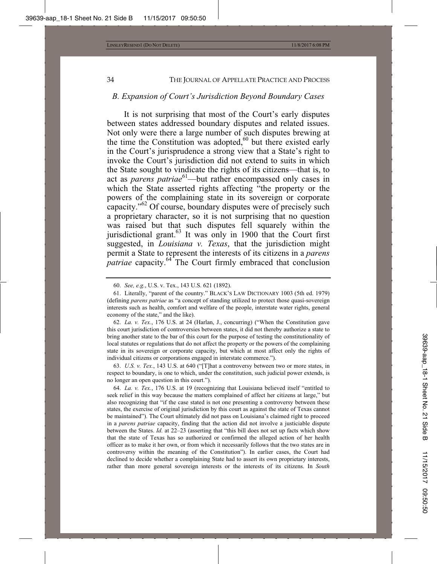#### *B. Expansion of Court's Jurisdiction Beyond Boundary Cases*

It is not surprising that most of the Court's early disputes between states addressed boundary disputes and related issues. Not only were there a large number of such disputes brewing at the time the Constitution was adopted, $60$  but there existed early in the Court's jurisprudence a strong view that a State's right to invoke the Court's jurisdiction did not extend to suits in which the State sought to vindicate the rights of its citizens—that is, to act as *parens patriae*<sup>61</sup>—but rather encompassed only cases in which the State asserted rights affecting "the property or the powers of the complaining state in its sovereign or corporate capacity."<sup>62</sup> Of course, boundary disputes were of precisely such a proprietary character, so it is not surprising that no question was raised but that such disputes fell squarely within the jurisdictional grant.<sup>63</sup> It was only in 1900 that the Court first suggested, in *Louisiana v. Texas*, that the jurisdiction might permit a State to represent the interests of its citizens in a *parens patriae* capacity.<sup>64</sup> The Court firmly embraced that conclusion

63. *U.S. v. Tex.*, 143 U.S. at 640 ("[T]hat a controversy between two or more states, in respect to boundary, is one to which, under the constitution, such judicial power extends, is no longer an open question in this court.").

64. *La. v. Tex.*, 176 U.S. at 19 (recognizing that Louisiana believed itself "entitled to seek relief in this way because the matters complained of affect her citizens at large," but also recognizing that "if the case stated is not one presenting a controversy between these states, the exercise of original jurisdiction by this court as against the state of Texas cannot be maintained"). The Court ultimately did not pass on Louisiana's claimed right to proceed in a *parens patriae* capacity, finding that the action did not involve a justiciable dispute between the States. *Id.* at 22–23 (asserting that "this bill does not set up facts which show that the state of Texas has so authorized or confirmed the alleged action of her health officer as to make it her own, or from which it necessarily follows that the two states are in controversy within the meaning of the Constitution"). In earlier cases, the Court had declined to decide whether a complaining State had to assert its own proprietary interests, rather than more general sovereign interests or the interests of its citizens. In *South* 

<sup>60.</sup> *See, e.g.*, U.S. v. Tex., 143 U.S. 621 (1892).

<sup>61.</sup> Literally, "parent of the country." BLACK'S LAW DICTIONARY 1003 (5th ed. 1979) (defining *parens patriae* as "a concept of standing utilized to protect those quasi-sovereign interests such as health, comfort and welfare of the people, interstate water rights, general economy of the state," and the like).

<sup>62.</sup> *La. v. Tex.*, 176 U.S. at 24 (Harlan, J., concurring) ("When the Constitution gave this court jurisdiction of controversies between states, it did not thereby authorize a state to bring another state to the bar of this court for the purpose of testing the constitutionality of local statutes or regulations that do not affect the property or the powers of the complaining state in its sovereign or corporate capacity, but which at most affect only the rights of individual citizens or corporations engaged in interstate commerce.").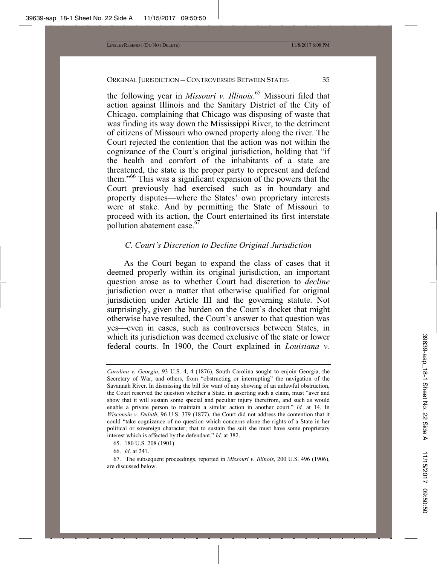the following year in *Missouri v. Illinois*. 65 Missouri filed that action against Illinois and the Sanitary District of the City of Chicago, complaining that Chicago was disposing of waste that was finding its way down the Mississippi River, to the detriment of citizens of Missouri who owned property along the river. The Court rejected the contention that the action was not within the cognizance of the Court's original jurisdiction, holding that "if the health and comfort of the inhabitants of a state are threatened, the state is the proper party to represent and defend them."66 This was a significant expansion of the powers that the Court previously had exercised—such as in boundary and property disputes—where the States' own proprietary interests were at stake. And by permitting the State of Missouri to proceed with its action, the Court entertained its first interstate pollution abatement case.<sup>67</sup>

# *C. Court's Discretion to Decline Original Jurisdiction*

As the Court began to expand the class of cases that it deemed properly within its original jurisdiction, an important question arose as to whether Court had discretion to *decline* jurisdiction over a matter that otherwise qualified for original jurisdiction under Article III and the governing statute. Not surprisingly, given the burden on the Court's docket that might otherwise have resulted, the Court's answer to that question was yes—even in cases, such as controversies between States, in which its jurisdiction was deemed exclusive of the state or lower federal courts. In 1900, the Court explained in *Louisiana v.* 

*Carolina v. Georgia*, 93 U.S. 4, 4 (1876), South Carolina sought to enjoin Georgia, the Secretary of War, and others, from "obstructing or interrupting" the navigation of the Savannah River. In dismissing the bill for want of any showing of an unlawful obstruction, the Court reserved the question whether a State, in asserting such a claim, must "aver and show that it will sustain some special and peculiar injury therefrom, and such as would enable a private person to maintain a similar action in another court." *Id.* at 14. In *Wisconsin v. Duluth*, 96 U.S. 379 (1877), the Court did not address the contention that it could "take cognizance of no question which concerns alone the rights of a State in her political or sovereign character; that to sustain the suit she must have some proprietary interest which is affected by the defendant." *Id*. at 382.

<sup>65. 180</sup> U.S. 208 (1901).

<sup>66.</sup> *Id*. at 241.

<sup>67.</sup> The subsequent proceedings, reported in *Missouri v. Illinois*, 200 U.S. 496 (1906), are discussed below.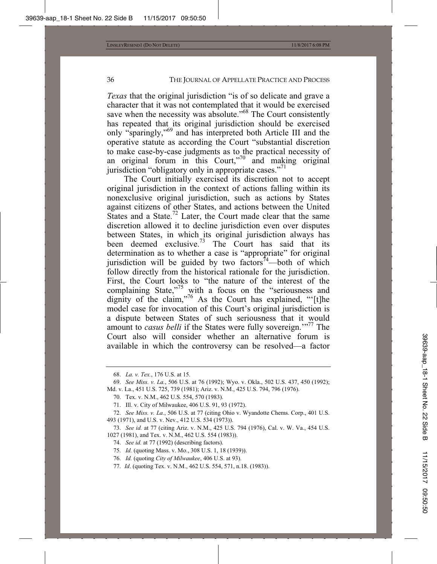*Texas* that the original jurisdiction "is of so delicate and grave a character that it was not contemplated that it would be exercised save when the necessity was absolute."<sup>68</sup> The Court consistently has repeated that its original jurisdiction should be exercised only "sparingly,"69 and has interpreted both Article III and the operative statute as according the Court "substantial discretion to make case-by-case judgments as to the practical necessity of an original forum in this Court,"<sup>70</sup> and making original jurisdiction "obligatory only in appropriate cases."<sup>71</sup>

The Court initially exercised its discretion not to accept original jurisdiction in the context of actions falling within its nonexclusive original jurisdiction, such as actions by States against citizens of other States, and actions between the United States and a State.<sup>72</sup> Later, the Court made clear that the same discretion allowed it to decline jurisdiction even over disputes between States, in which its original jurisdiction always has been deemed exclusive.<sup>73</sup> The Court has said that its determination as to whether a case is "appropriate" for original jurisdiction will be guided by two factors<sup>74</sup>—both of which follow directly from the historical rationale for the jurisdiction. First, the Court looks to "the nature of the interest of the complaining State,"<sup>75</sup> with a focus on the "seriousness and dignity of the claim,"76 As the Court has explained, "'[t]he model case for invocation of this Court's original jurisdiction is a dispute between States of such seriousness that it would amount to *casus belli* if the States were fully sovereign.<sup>"77</sup> The Court also will consider whether an alternative forum is available in which the controversy can be resolved—a factor

<sup>68.</sup> *La. v. Tex.*, 176 U.S. at 15.

<sup>69.</sup> *See Miss. v. La.*, 506 U.S. at 76 (1992); Wyo. v. Okla., 502 U.S. 437, 450 (1992); Md. v. La., 451 U.S. 725, 739 (1981); Ariz. v. N.M., 425 U.S. 794, 796 (1976).

<sup>70.</sup> Tex. v. N.M., 462 U.S. 554, 570 (1983).

<sup>71.</sup> Ill. v. City of Milwaukee, 406 U.S. 91, 93 (1972).

<sup>72.</sup> *See Miss. v. La.*, 506 U.S. at 77 (citing Ohio v. Wyandotte Chems. Corp., 401 U.S. 493 (1971), and U.S. v. Nev., 412 U.S. 534 (1973)).

<sup>73.</sup> *See id.* at 77 (citing Ariz. v. N.M., 425 U.S. 794 (1976), Cal. v. W. Va., 454 U.S. 1027 (1981), and Tex. v. N.M., 462 U.S. 554 (1983)).

<sup>74.</sup> *See id.* at 77 (1992) (describing factors).

<sup>75.</sup> *Id.* (quoting Mass. v. Mo., 308 U.S. 1, 18 (1939)).

<sup>76.</sup> *Id.* (quoting *City of Milwaukee*, 406 U.S. at 93).

<sup>77.</sup> *Id*. (quoting Tex. v. N.M., 462 U.S. 554, 571, n.18. (1983)).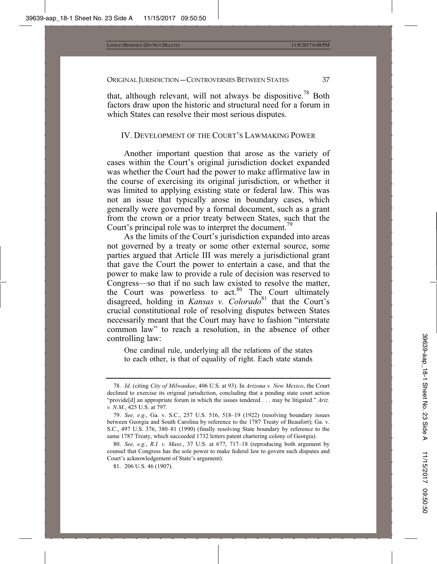that, although relevant, will not always be dispositive.<sup>78</sup> Both factors draw upon the historic and structural need for a forum in which States can resolve their most serious disputes.

# IV. DEVELOPMENT OF THE COURT'S LAWMAKING POWER

Another important question that arose as the variety of cases within the Court's original jurisdiction docket expanded was whether the Court had the power to make affirmative law in the course of exercising its original jurisdiction, or whether it was limited to applying existing state or federal law. This was not an issue that typically arose in boundary cases, which generally were governed by a formal document, such as a grant from the crown or a prior treaty between States, such that the Court's principal role was to interpret the document.<sup>79</sup>

As the limits of the Court's jurisdiction expanded into areas not governed by a treaty or some other external source, some parties argued that Article III was merely a jurisdictional grant that gave the Court the power to entertain a case, and that the power to make law to provide a rule of decision was reserved to Congress—so that if no such law existed to resolve the matter, the Court was powerless to  $act.^{80}$  The Court ultimately disagreed, holding in *Kansas v. Colorado*81 that the Court's crucial constitutional role of resolving disputes between States necessarily meant that the Court may have to fashion "interstate common law" to reach a resolution, in the absence of other controlling law:

One cardinal rule, underlying all the relations of the states to each other, is that of equality of right. Each state stands

<sup>78.</sup> *Id*. (citing *City of Milwaukee*, 406 U.S. at 93). In *Arizona v. New Mexico*, the Court declined to exercise its original jurisdiction, concluding that a pending state court action "provide[d] an appropriate forum in which the issues tendered . . . may be litigated." *Ariz. v. N.M.*, 425 U.S. at 797.

<sup>79.</sup> *See, e.g.*, Ga. v. S.C., 257 U.S. 516, 518–19 (1922) (resolving boundary issues between Georgia and South Carolina by reference to the 1787 Treaty of Beaufort); Ga. v. S.C., 497 U.S. 376, 380–81 (1990) (finally resolving State boundary by reference to the same 1787 Treaty, which succeeded 1732 letters patent chartering colony of Georgia).

<sup>80.</sup> *See, e.g.*, *R.I. v. Mass.*, 37 U.S. at 677, 717–18 (reproducing both argument by counsel that Congress has the sole power to make federal law to govern such disputes and Court's acknowledgement of State's argument).

<sup>81. 206</sup> U.S. 46 (1907).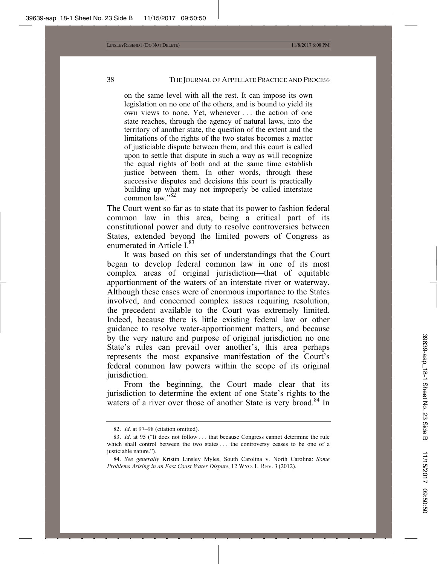on the same level with all the rest. It can impose its own legislation on no one of the others, and is bound to yield its own views to none. Yet, whenever . . . the action of one state reaches, through the agency of natural laws, into the territory of another state, the question of the extent and the limitations of the rights of the two states becomes a matter of justiciable dispute between them, and this court is called upon to settle that dispute in such a way as will recognize the equal rights of both and at the same time establish justice between them. In other words, through these successive disputes and decisions this court is practically building up what may not improperly be called interstate common law."82

The Court went so far as to state that its power to fashion federal common law in this area, being a critical part of its constitutional power and duty to resolve controversies between States, extended beyond the limited powers of Congress as enumerated in Article I.83

It was based on this set of understandings that the Court began to develop federal common law in one of its most complex areas of original jurisdiction—that of equitable apportionment of the waters of an interstate river or waterway. Although these cases were of enormous importance to the States involved, and concerned complex issues requiring resolution, the precedent available to the Court was extremely limited. Indeed, because there is little existing federal law or other guidance to resolve water-apportionment matters, and because by the very nature and purpose of original jurisdiction no one State's rules can prevail over another's, this area perhaps represents the most expansive manifestation of the Court's federal common law powers within the scope of its original jurisdiction.

From the beginning, the Court made clear that its jurisdiction to determine the extent of one State's rights to the waters of a river over those of another State is very broad.<sup>84</sup> In

<sup>82.</sup> *Id*. at 97–98 (citation omitted).

<sup>83.</sup> *Id*. at 95 ("It does not follow . . . that because Congress cannot determine the rule which shall control between the two states ... the controversy ceases to be one of a justiciable nature.").

<sup>84.</sup> *See generally* Kristin Linsley Myles, South Carolina v. North Carolina: *Some Problems Arising in an East Coast Water Dispute*, 12 WYO. L. REV. 3 (2012).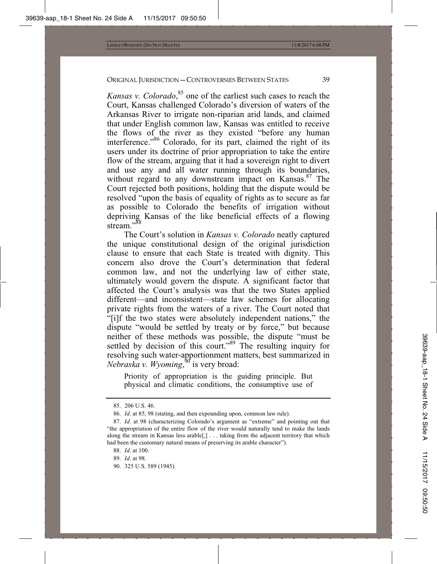*Kansas v. Colorado*, 85 one of the earliest such cases to reach the Court, Kansas challenged Colorado's diversion of waters of the Arkansas River to irrigate non-riparian arid lands, and claimed that under English common law, Kansas was entitled to receive the flows of the river as they existed "before any human interference."86 Colorado, for its part, claimed the right of its users under its doctrine of prior appropriation to take the entire flow of the stream, arguing that it had a sovereign right to divert and use any and all water running through its boundaries, without regard to any downstream impact on Kansas.<sup>87</sup> The Court rejected both positions, holding that the dispute would be resolved "upon the basis of equality of rights as to secure as far as possible to Colorado the benefits of irrigation without depriving Kansas of the like beneficial effects of a flowing stream<sup>"88</sup>

The Court's solution in *Kansas v. Colorado* neatly captured the unique constitutional design of the original jurisdiction clause to ensure that each State is treated with dignity. This concern also drove the Court's determination that federal common law, and not the underlying law of either state, ultimately would govern the dispute. A significant factor that affected the Court's analysis was that the two States applied different—and inconsistent—state law schemes for allocating private rights from the waters of a river. The Court noted that "[i]f the two states were absolutely independent nations," the dispute "would be settled by treaty or by force," but because neither of these methods was possible, the dispute "must be settled by decision of this court."89 The resulting inquiry for resolving such water-apportionment matters, best summarized in *Nebraska v. Wyoming*, 90 is very broad:

Priority of appropriation is the guiding principle. But physical and climatic conditions, the consumptive use of

90. 325 U.S. 589 (1945).

<sup>85. 206</sup> U.S. 46.

<sup>86.</sup> *Id*. at 85, 98 (stating, and then expounding upon, common law rule).

<sup>87.</sup> *Id*. at 98 (characterizing Colorado's argument as "extreme" and pointing out that "the appropriation of the entire flow of the river would naturally tend to make the lands along the stream in Kansas less arable[,] . . . taking from the adjacent territory that which had been the customary natural means of preserving its arable character").

<sup>88.</sup> *Id*. at 100.

<sup>89.</sup> *Id*. at 98.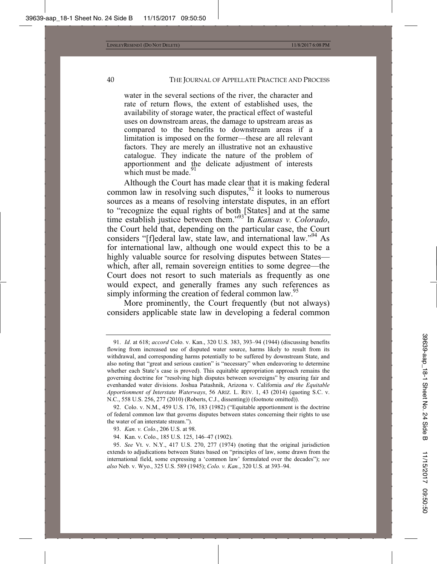water in the several sections of the river, the character and rate of return flows, the extent of established uses, the availability of storage water, the practical effect of wasteful uses on downstream areas, the damage to upstream areas as compared to the benefits to downstream areas if a limitation is imposed on the former—these are all relevant factors. They are merely an illustrative not an exhaustive catalogue. They indicate the nature of the problem of apportionment and the delicate adjustment of interests which must be made.<sup>9</sup>

Although the Court has made clear that it is making federal common law in resolving such disputes,  $92$  it looks to numerous sources as a means of resolving interstate disputes, in an effort to "recognize the equal rights of both [States] and at the same time establish justice between them."93 In *Kansas v. Colorado*, the Court held that, depending on the particular case, the Court considers "[f]ederal law, state law, and international law."<sup>94</sup> As for international law, although one would expect this to be a highly valuable source for resolving disputes between States which, after all, remain sovereign entities to some degree—the Court does not resort to such materials as frequently as one would expect, and generally frames any such references as simply informing the creation of federal common law.<sup>95</sup>

More prominently, the Court frequently (but not always) considers applicable state law in developing a federal common

<sup>91.</sup> *Id*. at 618; *accord* Colo. v. Kan., 320 U.S. 383, 393–94 (1944) (discussing benefits flowing from increased use of disputed water source, harms likely to result from its withdrawal, and corresponding harms potentially to be suffered by downstream State, and also noting that "great and serious caution" is "necessary" when endeavoring to determine whether each State's case is proved). This equitable appropriation approach remains the governing doctrine for "resolving high disputes between sovereigns" by ensuring fair and evenhanded water divisions. Joshua Patashnik, Arizona v. California *and the Equitable Apportionment of Interstate Waterways*, 56 ARIZ. L. REV. 1, 43 (2014) (quoting S.C. v. N.C., 558 U.S. 256, 277 (2010) (Roberts, C.J., dissenting)) (footnote omitted)).

<sup>92.</sup> Colo. v. N.M., 459 U.S. 176, 183 (1982) ("Equitable apportionment is the doctrine of federal common law that governs disputes between states concerning their rights to use the water of an interstate stream.").

<sup>93.</sup> *Kan. v. Colo.*, 206 U.S. at 98.

<sup>94.</sup> Kan. v. Colo., 185 U.S. 125, 146–47 (1902).

<sup>95.</sup> *See* Vt. v. N.Y., 417 U.S. 270, 277 (1974) (noting that the original jurisdiction extends to adjudications between States based on "principles of law, some drawn from the international field, some expressing a 'common law' formulated over the decades"); *see also* Neb. v. Wyo., 325 U.S. 589 (1945); *Colo. v. Kan.*, 320 U.S. at 393–94.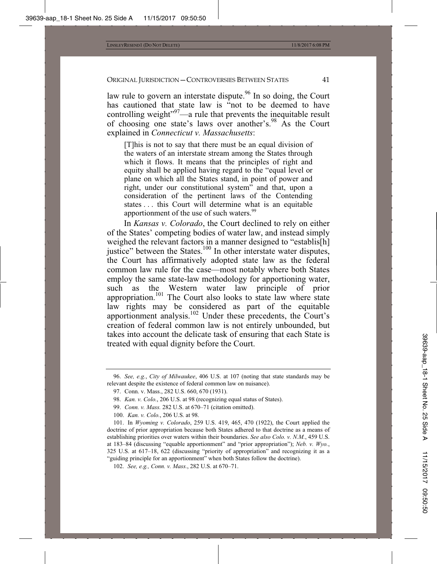law rule to govern an interstate dispute.<sup>96</sup> In so doing, the Court has cautioned that state law is "not to be deemed to have controlling weight $10^{97}$ —a rule that prevents the inequitable result of choosing one state's laws over another's.<sup>98</sup> As the Court explained in *Connecticut v. Massachusetts*:

[T]his is not to say that there must be an equal division of the waters of an interstate stream among the States through which it flows. It means that the principles of right and equity shall be applied having regard to the "equal level or plane on which all the States stand, in point of power and right, under our constitutional system" and that, upon a consideration of the pertinent laws of the Contending states . . . this Court will determine what is an equitable apportionment of the use of such waters.<sup>99</sup>

In *Kansas v. Colorado*, the Court declined to rely on either of the States' competing bodies of water law, and instead simply weighed the relevant factors in a manner designed to "establis[h] justice" between the States.<sup>100</sup> In other interstate water disputes, the Court has affirmatively adopted state law as the federal common law rule for the case—most notably where both States employ the same state-law methodology for apportioning water, such as the Western water law principle of prior appropriation.<sup>101</sup> The Court also looks to state law where state law rights may be considered as part of the equitable apportionment analysis.<sup>102</sup> Under these precedents, the Court's creation of federal common law is not entirely unbounded, but takes into account the delicate task of ensuring that each State is treated with equal dignity before the Court.

101. In *Wyoming v. Colorado*, 259 U.S. 419, 465, 470 (1922), the Court applied the doctrine of prior appropriation because both States adhered to that doctrine as a means of establishing priorities over waters within their boundaries. *See also Colo. v. N.M.*, 459 U.S. at 183–84 (discussing "equable apportionment" and "prior appropriation"); *Neb. v. Wyo.*, 325 U.S. at 617–18, 622 (discussing "priority of appropriation" and recognizing it as a "guiding principle for an apportionment" when both States follow the doctrine).

102. *See, e.g., Conn. v. Mass.*, 282 U.S. at 670–71.

<sup>96.</sup> *See, e.g.*, *City of Milwaukee*, 406 U.S. at 107 (noting that state standards may be relevant despite the existence of federal common law on nuisance).

<sup>97.</sup> Conn. v. Mass., 282 U.S. 660, 670 (1931).

<sup>98.</sup> *Kan. v. Colo.*, 206 U.S. at 98 (recognizing equal status of States).

<sup>99.</sup> *Conn. v. Mass.* 282 U.S. at 670–71 (citation omitted).

<sup>100.</sup> *Kan. v. Colo.*, 206 U.S. at 98.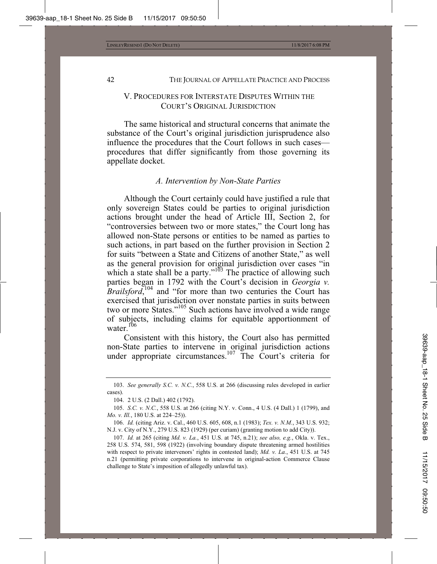# V. PROCEDURES FOR INTERSTATE DISPUTES WITHIN THE COURT'S ORIGINAL JURISDICTION

The same historical and structural concerns that animate the substance of the Court's original jurisdiction jurisprudence also influence the procedures that the Court follows in such cases procedures that differ significantly from those governing its appellate docket.

#### *A. Intervention by Non-State Parties*

Although the Court certainly could have justified a rule that only sovereign States could be parties to original jurisdiction actions brought under the head of Article III, Section 2, for "controversies between two or more states," the Court long has allowed non-State persons or entities to be named as parties to such actions, in part based on the further provision in Section 2 for suits "between a State and Citizens of another State," as well as the general provision for original jurisdiction over cases "in which a state shall be a party."<sup>103</sup> The practice of allowing such parties began in 1792 with the Court's decision in *Georgia v. Brailsford*,<sup>104</sup> and "for more than two centuries the Court has exercised that jurisdiction over nonstate parties in suits between two or more States."105 Such actions have involved a wide range of subjects, including claims for equitable apportionment of water.<sup>106</sup>

Consistent with this history, the Court also has permitted non-State parties to intervene in original jurisdiction actions under appropriate circumstances.<sup>107</sup> The Court's criteria for

104. 2 U.S. (2 Dall.) 402 (1792).

<sup>103.</sup> *See generally S.C. v. N.C.*, 558 U.S. at 266 (discussing rules developed in earlier cases).

<sup>105.</sup> *S.C. v. N.C.*, 558 U.S. at 266 (citing N.Y. v. Conn., 4 U.S. (4 Dall.) 1 (1799), and *Mo. v. Ill.*, 180 U.S. at 224–25)).

<sup>106.</sup> *Id.* (citing Ariz. v. Cal., 460 U.S. 605, 608, n.1 (1983); *Tex. v. N.M.*, 343 U.S. 932; N.J. v. City of N.Y., 279 U.S. 823 (1929) (per curiam) (granting motion to add City)).

<sup>107.</sup> *Id.* at 265 (citing *Md. v. La.*, 451 U.S. at 745, n.21); *see also, e.g.*, Okla. v. Tex., 258 U.S. 574, 581, 598 (1922) (involving boundary dispute threatening armed hostilities with respect to private intervenors' rights in contested land); *Md. v. La.*, 451 U.S. at 745 n.21 (permitting private corporations to intervene in original-action Commerce Clause challenge to State's imposition of allegedly unlawful tax).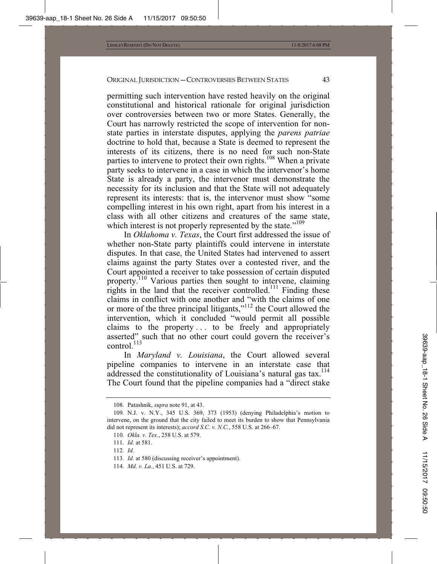permitting such intervention have rested heavily on the original constitutional and historical rationale for original jurisdiction over controversies between two or more States. Generally, the Court has narrowly restricted the scope of intervention for nonstate parties in interstate disputes, applying the *parens patriae* doctrine to hold that, because a State is deemed to represent the interests of its citizens, there is no need for such non-State parties to intervene to protect their own rights.<sup>108</sup> When a private party seeks to intervene in a case in which the intervenor's home State is already a party, the intervenor must demonstrate the necessity for its inclusion and that the State will not adequately represent its interests: that is, the intervenor must show "some compelling interest in his own right, apart from his interest in a class with all other citizens and creatures of the same state, which interest is not properly represented by the state."<sup>109</sup>

In *Oklahoma v. Texas*, the Court first addressed the issue of whether non-State party plaintiffs could intervene in interstate disputes. In that case, the United States had intervened to assert claims against the party States over a contested river, and the Court appointed a receiver to take possession of certain disputed property.<sup>110</sup> Various parties then sought to intervene, claiming rights in the land that the receiver controlled.<sup>111</sup> Finding these claims in conflict with one another and "with the claims of one or more of the three principal litigants,"<sup>112</sup> the Court allowed the intervention, which it concluded "would permit all possible claims to the property... to be freely and appropriately asserted" such that no other court could govern the receiver's control.<sup>113</sup>

In *Maryland v. Louisiana*, the Court allowed several pipeline companies to intervene in an interstate case that addressed the constitutionality of Louisiana's natural gas tax.<sup>114</sup> The Court found that the pipeline companies had a "direct stake

<sup>108.</sup> Patashnik, *supra* note 91, at 43.

<sup>109.</sup> N.J. v. N.Y., 345 U.S. 369, 373 (1953) (denying Philadelphia's motion to intervene, on the ground that the city failed to meet its burden to show that Pennsylvania did not represent its interests); *accord S.C. v. N.C.*, 558 U.S. at 266–67.

<sup>110.</sup> *Okla. v. Tex.*, 258 U.S. at 579.

<sup>111.</sup> *Id.* at 581.

<sup>112.</sup> *Id.*

<sup>113.</sup> *Id.* at 580 (discussing receiver's appointment).

<sup>114.</sup> *Md. v. La.*, 451 U.S. at 729.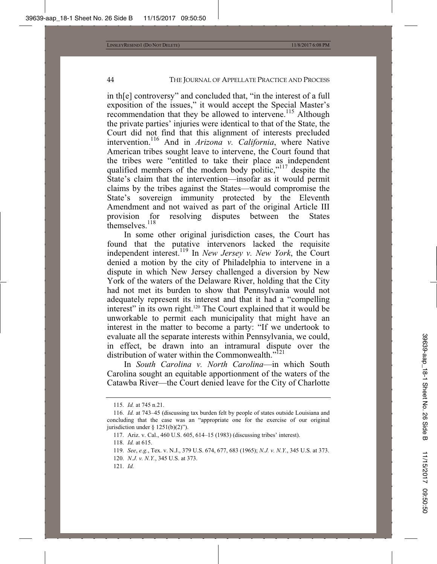in th[e] controversy" and concluded that, "in the interest of a full exposition of the issues," it would accept the Special Master's recommendation that they be allowed to intervene.<sup>115</sup> Although the private parties' injuries were identical to that of the State, the Court did not find that this alignment of interests precluded intervention.116 And in *Arizona v. California*, where Native American tribes sought leave to intervene, the Court found that the tribes were "entitled to take their place as independent qualified members of the modern body politic,"<sup>117</sup> despite the State's claim that the intervention—insofar as it would permit claims by the tribes against the States—would compromise the State's sovereign immunity protected by the Eleventh Amendment and not waived as part of the original Article III provision for resolving disputes between the States themselves<sup>118</sup>

In some other original jurisdiction cases, the Court has found that the putative intervenors lacked the requisite independent interest.119 In *New Jersey v. New York*, the Court denied a motion by the city of Philadelphia to intervene in a dispute in which New Jersey challenged a diversion by New York of the waters of the Delaware River, holding that the City had not met its burden to show that Pennsylvania would not adequately represent its interest and that it had a "compelling interest" in its own right.<sup>120</sup> The Court explained that it would be unworkable to permit each municipality that might have an interest in the matter to become a party: "If we undertook to evaluate all the separate interests within Pennsylvania, we could, in effect, be drawn into an intramural dispute over the distribution of water within the Commonwealth. $"^{121}$ 

In *South Carolina v. North Carolina*—in which South Carolina sought an equitable apportionment of the waters of the Catawba River—the Court denied leave for the City of Charlotte

120. *N.J. v. N.Y.*, 345 U.S. at 373.

<sup>115.</sup> *Id.* at 745 n.21.

<sup>116.</sup> *Id.* at 743–45 (discussing tax burden felt by people of states outside Louisiana and concluding that the case was an "appropriate one for the exercise of our original jurisdiction under  $§$  1251(b)(2)").

<sup>117.</sup> Ariz. v. Cal., 460 U.S. 605, 614–15 (1983) (discussing tribes' interest).

<sup>118.</sup> *Id.* at 615.

<sup>119.</sup> *See*, *e.g.*, Tex. v. N.J., 379 U.S. 674, 677, 683 (1965); *N.J. v. N.Y.*, 345 U.S. at 373.

<sup>121.</sup> *Id.*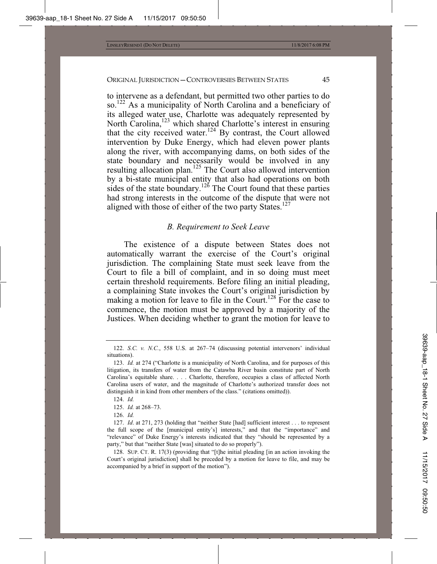to intervene as a defendant, but permitted two other parties to do so.<sup>122</sup> As a municipality of North Carolina and a beneficiary of its alleged water use, Charlotte was adequately represented by North Carolina,<sup>123</sup> which shared Charlotte's interest in ensuring that the city received water.<sup>124</sup> By contrast, the Court allowed intervention by Duke Energy, which had eleven power plants along the river, with accompanying dams, on both sides of the state boundary and necessarily would be involved in any resulting allocation plan.<sup>125</sup> The Court also allowed intervention by a bi-state municipal entity that also had operations on both sides of the state boundary.<sup>126</sup> The Court found that these parties had strong interests in the outcome of the dispute that were not aligned with those of either of the two party States.<sup>127</sup>

#### *B. Requirement to Seek Leave*

The existence of a dispute between States does not automatically warrant the exercise of the Court's original jurisdiction. The complaining State must seek leave from the Court to file a bill of complaint, and in so doing must meet certain threshold requirements. Before filing an initial pleading, a complaining State invokes the Court's original jurisdiction by making a motion for leave to file in the Court.<sup>128</sup> For the case to commence, the motion must be approved by a majority of the Justices. When deciding whether to grant the motion for leave to

125. *Id.* at 268–73.

<sup>122.</sup> *S.C. v. N.C.*, 558 U.S. at 267–74 (discussing potential intervenors' individual situations).

<sup>123.</sup> *Id.* at 274 ("Charlotte is a municipality of North Carolina, and for purposes of this litigation, its transfers of water from the Catawba River basin constitute part of North Carolina's equitable share. . . . Charlotte, therefore, occupies a class of affected North Carolina users of water, and the magnitude of Charlotte's authorized transfer does not distinguish it in kind from other members of the class." (citations omitted)).

<sup>124.</sup> *Id.*

<sup>126.</sup> *Id.*

<sup>127.</sup> *Id*. at 271, 273 (holding that "neither State [had] sufficient interest . . . to represent the full scope of the [municipal entity's] interests," and that the "importance" and "relevance" of Duke Energy's interests indicated that they "should be represented by a party," but that "neither State [was] situated to do so properly").

<sup>128.</sup> SUP. CT. R. 17(3) (providing that "[t]he initial pleading [in an action invoking the Court's original jurisdiction] shall be preceded by a motion for leave to file, and may be accompanied by a brief in support of the motion").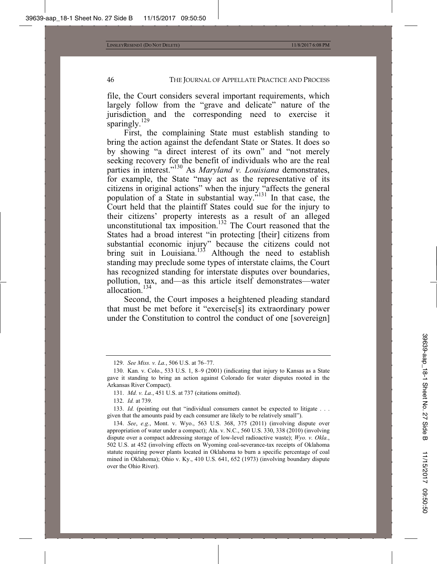file, the Court considers several important requirements, which largely follow from the "grave and delicate" nature of the jurisdiction and the corresponding need to exercise it sparingly. $^{129}$ 

First, the complaining State must establish standing to bring the action against the defendant State or States. It does so by showing "a direct interest of its own" and "not merely seeking recovery for the benefit of individuals who are the real parties in interest."130 As *Maryland v. Louisiana* demonstrates, for example, the State "may act as the representative of its citizens in original actions" when the injury "affects the general population of a State in substantial way."131 In that case, the Court held that the plaintiff States could sue for the injury to their citizens' property interests as a result of an alleged unconstitutional tax imposition.<sup>132</sup> The Court reasoned that the States had a broad interest "in protecting [their] citizens from substantial economic injury" because the citizens could not bring suit in Louisiana.<sup>133</sup> Although the need to establish standing may preclude some types of interstate claims, the Court has recognized standing for interstate disputes over boundaries, pollution, tax, and—as this article itself demonstrates—water allocation.<sup>134</sup>

Second, the Court imposes a heightened pleading standard that must be met before it "exercise[s] its extraordinary power under the Constitution to control the conduct of one [sovereign]

<sup>129.</sup> *See Miss. v. La.*, 506 U.S. at 76–77.

<sup>130.</sup> Kan. v. Colo., 533 U.S. 1, 8–9 (2001) (indicating that injury to Kansas as a State gave it standing to bring an action against Colorado for water disputes rooted in the Arkansas River Compact).

<sup>131.</sup> *Md. v. La.*, 451 U.S. at 737 (citations omitted).

<sup>132.</sup> *Id.* at 739.

<sup>133.</sup> *Id.* (pointing out that "individual consumers cannot be expected to litigate . . . given that the amounts paid by each consumer are likely to be relatively small").

<sup>134.</sup> *See*, *e.g.*, Mont. v. Wyo., 563 U.S. 368, 375 (2011) (involving dispute over appropriation of water under a compact); Ala. v. N.C., 560 U.S. 330, 338 (2010) (involving dispute over a compact addressing storage of low-level radioactive waste); *Wyo. v. Okla.*, 502 U.S. at 452 (involving effects on Wyoming coal-severance-tax receipts of Oklahoma statute requiring power plants located in Oklahoma to burn a specific percentage of coal mined in Oklahoma); Ohio v. Ky., 410 U.S. 641, 652 (1973) (involving boundary dispute over the Ohio River).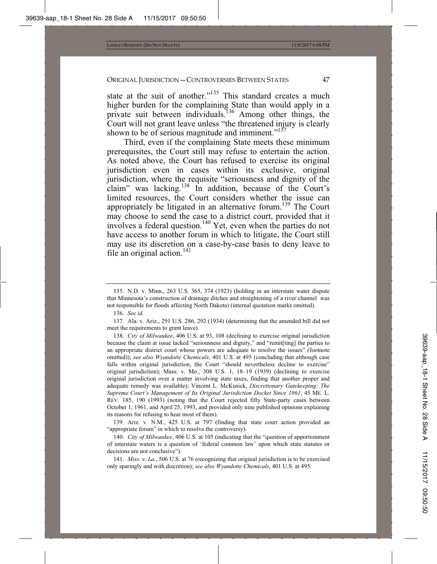state at the suit of another."<sup>135</sup> This standard creates a much higher burden for the complaining State than would apply in a private suit between individuals.<sup>136</sup> Among other things, the Court will not grant leave unless "the threatened injury is clearly shown to be of serious magnitude and imminent. $137$ 

Third, even if the complaining State meets these minimum prerequisites, the Court still may refuse to entertain the action. As noted above, the Court has refused to exercise its original jurisdiction even in cases within its exclusive, original jurisdiction, where the requisite "seriousness and dignity of the claim" was lacking.138 In addition, because of the Court's limited resources, the Court considers whether the issue can appropriately be litigated in an alternative forum.<sup>139</sup> The Court may choose to send the case to a district court, provided that it involves a federal question.<sup>140</sup> Yet, even when the parties do not have access to another forum in which to litigate, the Court still may use its discretion on a case-by-case basis to deny leave to file an original action.<sup>141</sup>

139. Ariz. v. N.M., 425 U.S. at 797 (finding that state court action provided an "appropriate forum" in which to resolve the controversy).

140. *City of Milwaukee*, 406 U.S. at 105 (indicating that the "question of apportionment of interstate waters is a question of 'federal common law' upon which state statutes or decisions are not conclusive").

141. *Miss. v. La.*, 506 U.S. at 76 (recognizing that original jurisdiction is to be exercised only sparingly and with discretion); *see also Wyandotte Chemicals*, 401 U.S. at 495.

<sup>135.</sup> N.D. v. Minn., 263 U.S. 365, 374 (1923) (holding in an interstate water dispute that Minnesota's construction of drainage ditches and straightening of a river channel was not responsible for floods affecting North Dakota) (internal quotation marks omitted).

<sup>136.</sup> *See id.*

<sup>137.</sup> Ala. v. Ariz., 291 U.S. 286, 292 (1934) (determining that the amended bill did not meet the requirements to grant leave).

<sup>138.</sup> *City of Milwaukee*, 406 U.S. at 93, 108 (declining to exercise original jurisdiction because the claim at issue lacked "seriousness and dignity," and "remit[ting] the parties to an appropriate district court whose powers are adequate to resolve the issues" (footnote omitted)); *see also Wyandotte Chemicals*, 401 U.S. at 495 (concluding that although case falls within original jurisdiction, the Court "should nevertheless decline to exercise" original jurisdiction); Mass. v. Mo., 308 U.S. 1, 18–19 (1939) (declining to exercise original jurisdiction over a matter involving state taxes, finding that another proper and adequate remedy was available); Vincent L. McKusick, *Discretionary Gatekeeping: The Supreme Court's Management of Its Original Jurisdiction Docket Since 1961*, 45 ME. L. REV. 185, 190 (1993) (noting that the Court rejected fifty State-party cases between October 1, 1961, and April 25, 1993, and provided only nine published opinions explaining its reasons for refusing to hear most of them).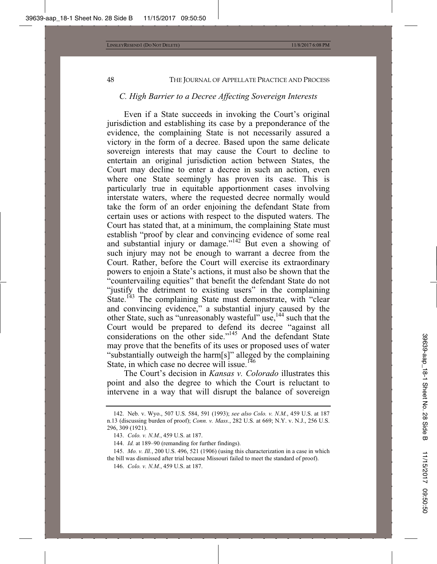#### *C. High Barrier to a Decree Affecting Sovereign Interests*

Even if a State succeeds in invoking the Court's original jurisdiction and establishing its case by a preponderance of the evidence, the complaining State is not necessarily assured a victory in the form of a decree. Based upon the same delicate sovereign interests that may cause the Court to decline to entertain an original jurisdiction action between States, the Court may decline to enter a decree in such an action, even where one State seemingly has proven its case. This is particularly true in equitable apportionment cases involving interstate waters, where the requested decree normally would take the form of an order enjoining the defendant State from certain uses or actions with respect to the disputed waters. The Court has stated that, at a minimum, the complaining State must establish "proof by clear and convincing evidence of some real and substantial injury or damage."<sup>142</sup> But even a showing of such injury may not be enough to warrant a decree from the Court. Rather, before the Court will exercise its extraordinary powers to enjoin a State's actions, it must also be shown that the "countervailing equities" that benefit the defendant State do not "justify the detriment to existing users" in the complaining State.<sup>143</sup> The complaining State must demonstrate, with "clear and convincing evidence," a substantial injury caused by the other State, such as "unreasonably wasteful" use,<sup>144</sup> such that the Court would be prepared to defend its decree "against all considerations on the other side."<sup>145</sup> And the defendant State may prove that the benefits of its uses or proposed uses of water "substantially outweigh the harm[s]" alleged by the complaining State, in which case no decree will issue.<sup>146</sup>

The Court's decision in *Kansas v. Colorado* illustrates this point and also the degree to which the Court is reluctant to intervene in a way that will disrupt the balance of sovereign

<sup>142.</sup> Neb. v. Wyo., 507 U.S. 584, 591 (1993); *see also Colo. v. N.M.*, 459 U.S. at 187 n.13 (discussing burden of proof); *Conn. v. Mass.*, 282 U.S. at 669; N.Y. v. N.J., 256 U.S. 296, 309 (1921).

<sup>143.</sup> *Colo. v. N.M.*, 459 U.S. at 187.

<sup>144.</sup> *Id.* at 189–90 (remanding for further findings).

<sup>145.</sup> *Mo. v. Ill.*, 200 U.S. 496, 521 (1906) (using this characterization in a case in which the bill was dismissed after trial because Missouri failed to meet the standard of proof).

<sup>146.</sup> *Colo. v. N.M.*, 459 U.S. at 187.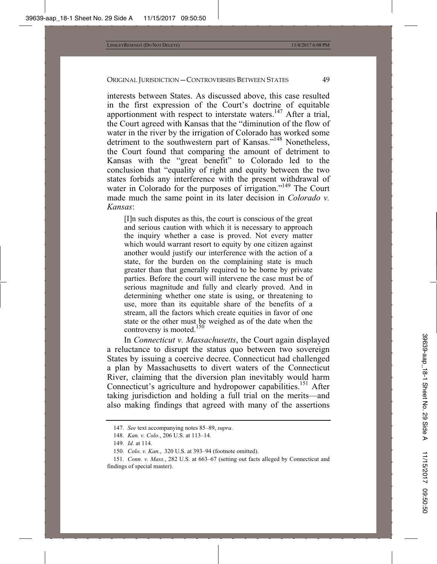interests between States. As discussed above, this case resulted in the first expression of the Court's doctrine of equitable apportionment with respect to interstate waters.<sup>147</sup> After a trial, the Court agreed with Kansas that the "diminution of the flow of water in the river by the irrigation of Colorado has worked some detriment to the southwestern part of Kansas."<sup>148</sup> Nonetheless, the Court found that comparing the amount of detriment to Kansas with the "great benefit" to Colorado led to the conclusion that "equality of right and equity between the two states forbids any interference with the present withdrawal of water in Colorado for the purposes of irrigation."<sup>149</sup> The Court made much the same point in its later decision in *Colorado v. Kansas*:

[I]n such disputes as this, the court is conscious of the great and serious caution with which it is necessary to approach the inquiry whether a case is proved. Not every matter which would warrant resort to equity by one citizen against another would justify our interference with the action of a state, for the burden on the complaining state is much greater than that generally required to be borne by private parties. Before the court will intervene the case must be of serious magnitude and fully and clearly proved. And in determining whether one state is using, or threatening to use, more than its equitable share of the benefits of a stream, all the factors which create equities in favor of one state or the other must be weighed as of the date when the controversy is mooted.<sup>150</sup>

In *Connecticut v. Massachusetts*, the Court again displayed a reluctance to disrupt the status quo between two sovereign States by issuing a coercive decree. Connecticut had challenged a plan by Massachusetts to divert waters of the Connecticut River, claiming that the diversion plan inevitably would harm Connecticut's agriculture and hydropower capabilities.<sup>151</sup> After taking jurisdiction and holding a full trial on the merits—and also making findings that agreed with many of the assertions

<sup>147.</sup> *See* text accompanying notes 85–89, *supra*.

<sup>148.</sup> *Kan. v. Colo.*, 206 U.S. at 113–14.

<sup>149.</sup> *Id*. at 114.

<sup>150.</sup> *Colo. v. Kan.*, 320 U.S. at 393–94 (footnote omitted).

<sup>151.</sup> *Conn. v. Mass.*, 282 U.S. at 663–67 (setting out facts alleged by Connecticut and findings of special master).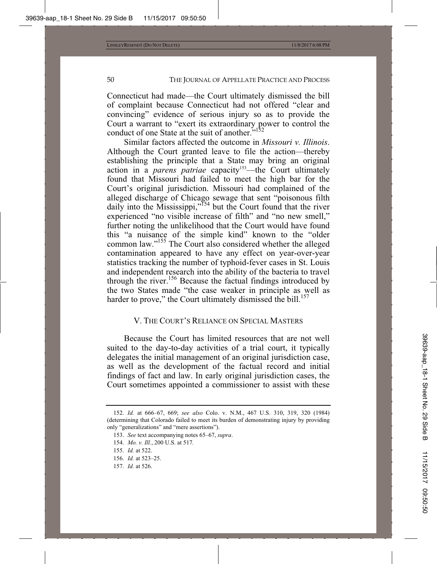Connecticut had made—the Court ultimately dismissed the bill of complaint because Connecticut had not offered "clear and convincing" evidence of serious injury so as to provide the Court a warrant to "exert its extraordinary power to control the conduct of one State at the suit of another."

Similar factors affected the outcome in *Missouri v. Illinois*. Although the Court granted leave to file the action—thereby establishing the principle that a State may bring an original action in a *parens patriae* capacity<sup>153</sup>—the Court ultimately found that Missouri had failed to meet the high bar for the Court's original jurisdiction. Missouri had complained of the alleged discharge of Chicago sewage that sent "poisonous filth daily into the Mississippi,"<sup>154</sup> but the Court found that the river experienced "no visible increase of filth" and "no new smell," further noting the unlikelihood that the Court would have found this "a nuisance of the simple kind" known to the "older common law."155 The Court also considered whether the alleged contamination appeared to have any effect on year-over-year statistics tracking the number of typhoid-fever cases in St. Louis and independent research into the ability of the bacteria to travel through the river.156 Because the factual findings introduced by the two States made "the case weaker in principle as well as harder to prove," the Court ultimately dismissed the bill. $157$ 

# V. THE COURT'S RELIANCE ON SPECIAL MASTERS

Because the Court has limited resources that are not well suited to the day-to-day activities of a trial court, it typically delegates the initial management of an original jurisdiction case, as well as the development of the factual record and initial findings of fact and law. In early original jurisdiction cases, the Court sometimes appointed a commissioner to assist with these

157. *Id.* at 526.

<sup>152.</sup> *Id.* at 666–67, 669; *see also* Colo. v. N.M., 467 U.S. 310, 319, 320 (1984) (determining that Colorado failed to meet its burden of demonstrating injury by providing only "generalizations" and "mere assertions").

<sup>153.</sup> *See* text accompanying notes 65–67, *supra*.

<sup>154.</sup> *Mo. v. Ill.*, 200 U.S. at 517*.*

<sup>155.</sup> *Id.* at 522.

<sup>156.</sup> *Id.* at 523–25.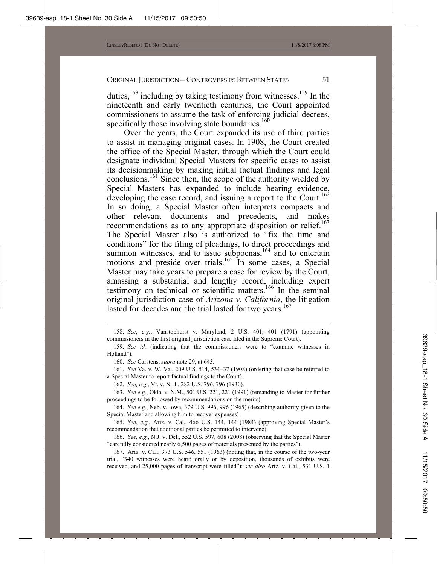duties, $158$  including by taking testimony from witnesses.<sup>159</sup> In the nineteenth and early twentieth centuries, the Court appointed commissioners to assume the task of enforcing judicial decrees, specifically those involving state boundaries.<sup>160</sup>

Over the years, the Court expanded its use of third parties to assist in managing original cases. In 1908, the Court created the office of the Special Master, through which the Court could designate individual Special Masters for specific cases to assist its decisionmaking by making initial factual findings and legal conclusions.161 Since then, the scope of the authority wielded by Special Masters has expanded to include hearing evidence, developing the case record, and issuing a report to the Court.<sup>162</sup> In so doing, a Special Master often interprets compacts and other relevant documents and precedents, and makes recommendations as to any appropriate disposition or relief.<sup>163</sup> The Special Master also is authorized to "fix the time and conditions" for the filing of pleadings, to direct proceedings and summon witnesses, and to issue subpoenas,  $164$  and to entertain motions and preside over trials.<sup>165</sup> In some cases, a Special Master may take years to prepare a case for review by the Court, amassing a substantial and lengthy record, including expert testimony on technical or scientific matters.166 In the seminal original jurisdiction case of *Arizona v. California*, the litigation lasted for decades and the trial lasted for two vears.<sup>167</sup>

163. *See e.g.*, Okla. v. N.M., 501 U.S. 221, 221 (1991) (remanding to Master for further proceedings to be followed by recommendations on the merits).

164. *See e.g.*, Neb. v. Iowa, 379 U.S. 996, 996 (1965) (describing authority given to the Special Master and allowing him to recover expenses)*.*

165. *See*, *e.g.*, Ariz. v. Cal., 466 U.S. 144, 144 (1984) (approving Special Master's recommendation that additional parties be permitted to intervene).

166. *See, e.g.*, N.J. v. Del., 552 U.S. 597, 608 (2008) (observing that the Special Master "carefully considered nearly 6,500 pages of materials presented by the parties").

167. Ariz. v. Cal., 373 U.S. 546, 551 (1963) (noting that, in the course of the two-year trial, "340 witnesses were heard orally or by deposition, thousands of exhibits were received, and 25,000 pages of transcript were filled"); *see also* Ariz. v. Cal., 531 U.S. 1

<sup>158.</sup> *See*, *e.g.*, Vanstophorst v. Maryland, 2 U.S. 401, 401 (1791) (appointing commissioners in the first original jurisdiction case filed in the Supreme Court).

<sup>159.</sup> *See id.* (indicating that the commissioners were to "examine witnesses in Holland").

<sup>160.</sup> *See* Carstens, *supra* note 29, at 643.

<sup>161.</sup> *See* Va. v. W. Va., 209 U.S. 514, 534–37 (1908) (ordering that case be referred to a Special Master to report factual findings to the Court).

<sup>162.</sup> *See, e.g.*, Vt. v. N.H., 282 U.S. 796, 796 (1930).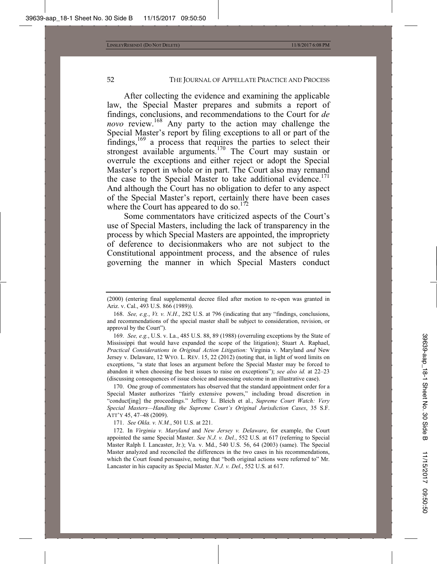After collecting the evidence and examining the applicable law, the Special Master prepares and submits a report of findings, conclusions, and recommendations to the Court for *de novo* review.168 Any party to the action may challenge the Special Master's report by filing exceptions to all or part of the findings,<sup>169</sup> a process that requires the parties to select their strongest available arguments. $170$  The Court may sustain or overrule the exceptions and either reject or adopt the Special Master's report in whole or in part. The Court also may remand the case to the Special Master to take additional evidence.<sup>171</sup> And although the Court has no obligation to defer to any aspect of the Special Master's report, certainly there have been cases where the Court has appeared to do so.<sup>172</sup>

Some commentators have criticized aspects of the Court's use of Special Masters, including the lack of transparency in the process by which Special Masters are appointed, the impropriety of deference to decisionmakers who are not subject to the Constitutional appointment process, and the absence of rules governing the manner in which Special Masters conduct

169. *See, e.g.*, U.S. v. La., 485 U.S. 88, 89 (1988) (overruling exceptions by the State of Mississippi that would have expanded the scope of the litigation); Stuart A. Raphael, *Practical Considerations in Original Action Litigation:* Virginia v. Maryland *and* New Jersey v. Delaware, 12 WYO. L. REV. 15, 22 (2012) (noting that, in light of word limits on exceptions, "a state that loses an argument before the Special Master may be forced to abandon it when choosing the best issues to raise on exceptions"); *see also id.* at 22–23 (discussing consequences of issue choice and assessing outcome in an illustrative case).

170. One group of commentators has observed that the standard appointment order for a Special Master authorizes "fairly extensive powers," including broad discretion in "conduct[ing] the proceedings." Jeffrey L. Bleich et al., *Supreme Court Watch: Very Special Masters—Handling the Supreme Court's Original Jurisdiction Cases*, 35 S.F. ATT'Y 45, 47–48 (2009).

171. *See Okla. v. N.M.*, 501 U.S. at 221.

172. In *Virginia v. Maryland* and *New Jersey v. Delaware*, for example, the Court appointed the same Special Master. *See N.J. v. Del.*, 552 U.S. at 617 (referring to Special Master Ralph I. Lancaster, Jr.); Va. v. Md., 540 U.S. 56, 64 (2003) (same). The Special Master analyzed and reconciled the differences in the two cases in his recommendations, which the Court found persuasive, noting that "both original actions were referred to" Mr. Lancaster in his capacity as Special Master. *N.J. v. Del.*, 552 U.S. at 617.

<sup>(2000) (</sup>entering final supplemental decree filed after motion to re-open was granted in Ariz. v. Cal., 493 U.S. 866 (1989)).

<sup>168.</sup> *See, e.g.*, *Vt. v. N.H.*, 282 U.S. at 796 (indicating that any "findings, conclusions, and recommendations of the special master shall be subject to consideration, revision, or approval by the Court").